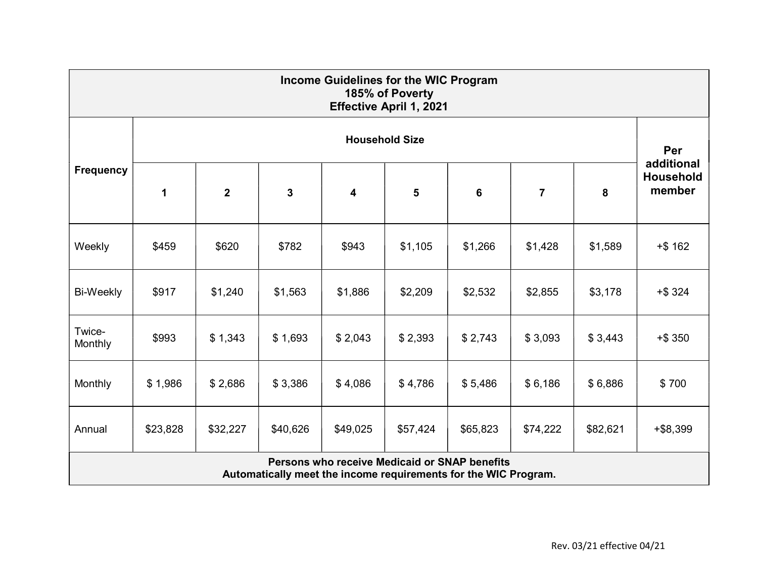| Income Guidelines for the WIC Program<br>185% of Poverty<br><b>Effective April 1, 2021</b>                       |                       |                  |             |          |          |          |                |          |                                          |  |
|------------------------------------------------------------------------------------------------------------------|-----------------------|------------------|-------------|----------|----------|----------|----------------|----------|------------------------------------------|--|
| <b>Frequency</b>                                                                                                 | <b>Household Size</b> |                  |             |          |          |          |                |          |                                          |  |
|                                                                                                                  | 1                     | $\boldsymbol{2}$ | $\mathbf 3$ | 4        | 5        | 6        | $\overline{7}$ | 8        | additional<br><b>Household</b><br>member |  |
| Weekly                                                                                                           | \$459                 | \$620            | \$782       | \$943    | \$1,105  | \$1,266  | \$1,428        | \$1,589  | $+ $162$                                 |  |
| Bi-Weekly                                                                                                        | \$917                 | \$1,240          | \$1,563     | \$1,886  | \$2,209  | \$2,532  | \$2,855        | \$3,178  | $+$ \$ 324                               |  |
| Twice-<br>Monthly                                                                                                | \$993                 | \$1,343          | \$1,693     | \$2,043  | \$2,393  | \$2,743  | \$3,093        | \$3,443  | $+ $350$                                 |  |
| Monthly                                                                                                          | \$1,986               | \$2,686          | \$3,386     | \$4,086  | \$4,786  | \$5,486  | \$6,186        | \$6,886  | \$700                                    |  |
| Annual                                                                                                           | \$23,828              | \$32,227         | \$40,626    | \$49,025 | \$57,424 | \$65,823 | \$74,222       | \$82,621 | $+ $8,399$                               |  |
| Persons who receive Medicaid or SNAP benefits<br>Automatically meet the income requirements for the WIC Program. |                       |                  |             |          |          |          |                |          |                                          |  |